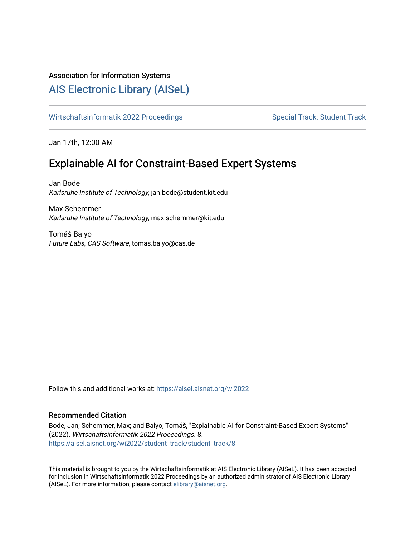# Association for Information Systems

# [AIS Electronic Library \(AISeL\)](https://aisel.aisnet.org/)

[Wirtschaftsinformatik 2022 Proceedings](https://aisel.aisnet.org/wi2022) Special Track: Student Track: Student Track

Jan 17th, 12:00 AM

# Explainable AI for Constraint-Based Expert Systems

Jan Bode Karlsruhe Institute of Technology, jan.bode@student.kit.edu

Max Schemmer Karlsruhe Institute of Technology, max.schemmer@kit.edu

Tomáš Balyo Future Labs, CAS Software, tomas.balyo@cas.de

Follow this and additional works at: [https://aisel.aisnet.org/wi2022](https://aisel.aisnet.org/wi2022?utm_source=aisel.aisnet.org%2Fwi2022%2Fstudent_track%2Fstudent_track%2F8&utm_medium=PDF&utm_campaign=PDFCoverPages) 

# Recommended Citation

Bode, Jan; Schemmer, Max; and Balyo, Tomáš, "Explainable AI for Constraint-Based Expert Systems" (2022). Wirtschaftsinformatik 2022 Proceedings. 8. [https://aisel.aisnet.org/wi2022/student\\_track/student\\_track/8](https://aisel.aisnet.org/wi2022/student_track/student_track/8?utm_source=aisel.aisnet.org%2Fwi2022%2Fstudent_track%2Fstudent_track%2F8&utm_medium=PDF&utm_campaign=PDFCoverPages)

This material is brought to you by the Wirtschaftsinformatik at AIS Electronic Library (AISeL). It has been accepted for inclusion in Wirtschaftsinformatik 2022 Proceedings by an authorized administrator of AIS Electronic Library (AISeL). For more information, please contact [elibrary@aisnet.org](mailto:elibrary@aisnet.org%3E).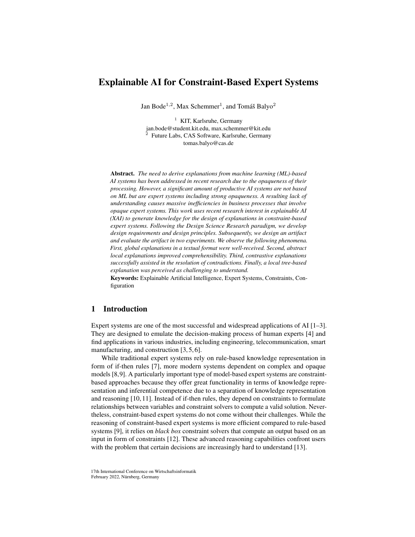# Explainable AI for Constraint-Based Expert Systems

Jan Bode<sup>1,2</sup>, Max Schemmer<sup>1</sup>, and Tomáš Balyo<sup>2</sup>

 $<sup>1</sup>$  KIT, Karlsruhe, Germany</sup> jan.bode@student.kit.edu, max.schemmer@kit.edu 2 Future Labs, CAS Software, Karlsruhe, Germany tomas.balyo@cas.de

Abstract. *The need to derive explanations from machine learning (ML)-based AI systems has been addressed in recent research due to the opaqueness of their processing. However, a significant amount of productive AI systems are not based on ML but are expert systems including strong opaqueness. A resulting lack of understanding causes massive inefficiencies in business processes that involve opaque expert systems. This work uses recent research interest in explainable AI (XAI) to generate knowledge for the design of explanations in constraint-based expert systems. Following the Design Science Research paradigm, we develop design requirements and design principles. Subsequently, we design an artifact and evaluate the artifact in two experiments. We observe the following phenomena. First, global explanations in a textual format were well-received. Second, abstract local explanations improved comprehensibility. Third, contrastive explanations successfully assisted in the resolution of contradictions. Finally, a local tree-based explanation was perceived as challenging to understand.*

Keywords: Explainable Artificial Intelligence, Expert Systems, Constraints, Configuration

## 1 Introduction

Expert systems are one of the most successful and widespread applications of AI [\[1–](#page-13-0)[3\]](#page-13-1). They are designed to emulate the decision-making process of human experts [\[4\]](#page-13-2) and find applications in various industries, including engineering, telecommunication, smart manufacturing, and construction [\[3,](#page-13-1) [5,](#page-13-3) [6\]](#page-13-4).

While traditional expert systems rely on rule-based knowledge representation in form of if-then rules [\[7\]](#page-13-5), more modern systems dependent on complex and opaque models [\[8,](#page-13-6)[9\]](#page-13-7). A particularly important type of model-based expert systems are constraintbased approaches because they offer great functionality in terms of knowledge representation and inferential competence due to a separation of knowledge representation and reasoning [\[10,](#page-13-8) [11\]](#page-13-9). Instead of if-then rules, they depend on constraints to formulate relationships between variables and constraint solvers to compute a valid solution. Nevertheless, constraint-based expert systems do not come without their challenges. While the reasoning of constraint-based expert systems is more efficient compared to rule-based systems [\[9\]](#page-13-7), it relies on *black box* constraint solvers that compute an output based on an input in form of constraints [\[12\]](#page-13-10). These advanced reasoning capabilities confront users with the problem that certain decisions are increasingly hard to understand [\[13\]](#page-13-11).

17th International Conference on Wirtschaftsinformatik February 2022, Nürnberg, Germany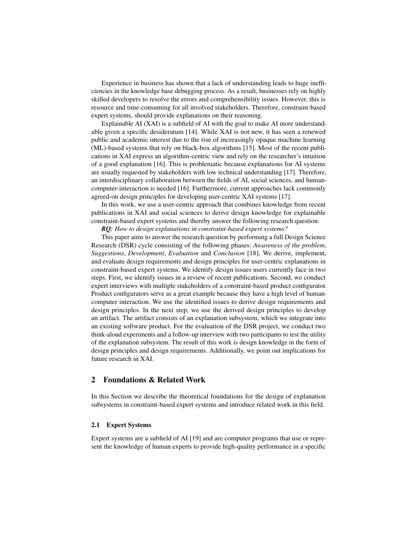Experience in business has shown that a lack of understanding leads to huge inefficiencies in the knowledge base debugging process. As a result, businesses rely on highly skilled developers to resolve the errors and comprehensibility issues. However, this is resource and time-consuming for all involved stakeholders. Therefore, constraint-based expert systems, should provide explanations on their reasoning.

Explainable AI (XAI) is a subfield of AI with the goal to make AI more understandable given a specific desideratum [\[14\]](#page-13-12). While XAI is not new, it has seen a renewed public and academic interest due to the rise of increasingly opaque machine learning (ML)-based systems that rely on black-box algorithms [\[15\]](#page-13-13). Most of the recent publications in XAI express an algorithm-centric view and rely on the researcher's intuition of a good explanation [\[16\]](#page-13-14). This is problematic because explanations for AI systems are usually requested by stakeholders with low technical understanding [\[17\]](#page-13-15). Therefore, an interdisciplinary collaboration between the fields of AI, social sciences, and humancomputer-interaction is needed [\[16\]](#page-13-14). Furthermore, current approaches lack commonly agreed-on design principles for developing user-centric XAI systems [\[17\]](#page-13-15).

In this work, we use a user-centric approach that combines knowledge from recent publications in XAI and social sciences to derive design knowledge for explainable constraint-based expert systems and thereby answer the following research question:

*RQ: How to design explanations in constraint-based expert systems?*

This paper aims to answer the research question by performing a full Design Science Research (DSR) cycle consisting of the following phases: *Awareness of the problem*, *Suggestions*, *Development*, *Evaluation* and *Conclusion* [\[18\]](#page-13-16). We derive, implement, and evaluate design requirements and design principles for user-centric explanations in constraint-based expert systems. We identify design issues users currently face in two steps. First, we identify issues in a review of recent publications. Second, we conduct expert interviews with multiple stakeholders of a constraint-based product configurator. Product configurators serve as a great example because they have a high level of humancomputer interaction. We use the identified issues to derive design requirements and design principles. In the next step, we use the derived design principles to develop an artifact. The artifact consists of an explanation subsystem, which we integrate into an existing software product. For the evaluation of the DSR project, we conduct two think-aloud experiments and a follow-up interview with two participants to test the utility of the explanation subsystem. The result of this work is design knowledge in the form of design principles and design requirements. Additionally, we point out implications for future research in XAI.

# 2 Foundations & Related Work

In this Section we describe the theoretical foundations for the design of explanation subsystems in constraint-based expert systems and introduce related work in this field.

### 2.1 Expert Systems

Expert systems are a subfield of AI [\[19\]](#page-13-17) and are computer programs that use or represent the knowledge of human experts to provide high-quality performance in a specific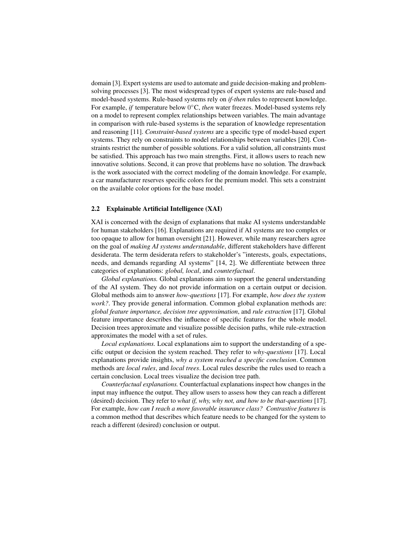domain [\[3\]](#page-13-1). Expert systems are used to automate and guide decision-making and problemsolving processes [\[3\]](#page-13-1). The most widespread types of expert systems are rule-based and model-based systems. Rule-based systems rely on *if-then* rules to represent knowledge. For example, *if* temperature below 0°C, *then* water freezes. Model-based systems rely on a model to represent complex relationships between variables. The main advantage in comparison with rule-based systems is the separation of knowledge representation and reasoning [\[11\]](#page-13-9). *Constraint-based systems* are a specific type of model-based expert systems. They rely on constraints to model relationships between variables [\[20\]](#page-13-18). Constraints restrict the number of possible solutions. For a valid solution, all constraints must be satisfied. This approach has two main strengths. First, it allows users to reach new innovative solutions. Second, it can prove that problems have no solution. The drawback is the work associated with the correct modeling of the domain knowledge. For example, a car manufacturer reserves specific colors for the premium model. This sets a constraint on the available color options for the base model.

### 2.2 Explainable Artificial Intelligence (XAI)

XAI is concerned with the design of explanations that make AI systems understandable for human stakeholders [\[16\]](#page-13-14). Explanations are required if AI systems are too complex or too opaque to allow for human oversight [\[21\]](#page-14-0). However, while many researchers agree on the goal of *making AI systems understandable*, different stakeholders have different desiderata. The term desiderata refers to stakeholder's "interests, goals, expectations, needs, and demands regarding AI systems" [\[14,](#page-13-12) 2]. We differentiate between three categories of explanations: *global, local*, and *counterfactual*.

*Global explanations.* Global explanations aim to support the general understanding of the AI system. They do not provide information on a certain output or decision. Global methods aim to answer *how-questions* [\[17\]](#page-13-15). For example, *how does the system work?*. They provide general information. Common global explanation methods are: *global feature importance, decision tree approximation*, and *rule extraction* [\[17\]](#page-13-15). Global feature importance describes the influence of specific features for the whole model. Decision trees approximate and visualize possible decision paths, while rule-extraction approximates the model with a set of rules.

*Local explanations.* Local explanations aim to support the understanding of a specific output or decision the system reached. They refer to *why-questions* [\[17\]](#page-13-15). Local explanations provide insights, *why a system reached a specific conclusion*. Common methods are *local rules*, and *local trees*. Local rules describe the rules used to reach a certain conclusion. Local trees visualize the decision tree path.

*Counterfactual explanations.* Counterfactual explanations inspect how changes in the input may influence the output. They allow users to assess how they can reach a different (desired) decision. They refer to *what if, why, why not, and how to be that-questions* [\[17\]](#page-13-15). For example, *how can I reach a more favorable insurance class? Contrastive features* is a common method that describes which feature needs to be changed for the system to reach a different (desired) conclusion or output.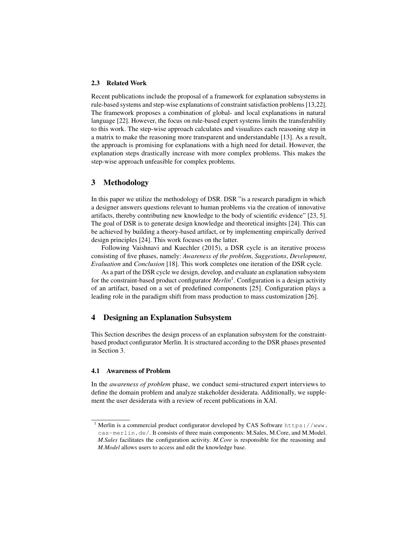#### 2.3 Related Work

Recent publications include the proposal of a framework for explanation subsystems in rule-based systems and step-wise explanations of constraint satisfaction problems [\[13,](#page-13-11)[22\]](#page-14-1). The framework proposes a combination of global- and local explanations in natural language [\[22\]](#page-14-1). However, the focus on rule-based expert systems limits the transferability to this work. The step-wise approach calculates and visualizes each reasoning step in a matrix to make the reasoning more transparent and understandable [\[13\]](#page-13-11). As a result, the approach is promising for explanations with a high need for detail. However, the explanation steps drastically increase with more complex problems. This makes the step-wise approach unfeasible for complex problems.

### <span id="page-4-1"></span>3 Methodology

In this paper we utilize the methodology of DSR. DSR "is a research paradigm in which a designer answers questions relevant to human problems via the creation of innovative artifacts, thereby contributing new knowledge to the body of scientific evidence" [\[23,](#page-14-2) 5]. The goal of DSR is to generate design knowledge and theoretical insights [\[24\]](#page-14-3). This can be achieved by building a theory-based artifact, or by implementing empirically derived design principles [\[24\]](#page-14-3). This work focuses on the latter.

Following Vaishnavi and Kuechler (2015), a DSR cycle is an iterative process consisting of five phases, namely: *Awareness of the problem*, *Suggestions*, *Development*, *Evaluation* and *Conclusion* [\[18\]](#page-13-16). This work completes one iteration of the DSR cycle.

As a part of the DSR cycle we design, develop, and evaluate an explanation subsystem for the constraint-based product configurator *Merlin*[1](#page-4-0) . Configuration is a design activity of an artifact, based on a set of predefined components [\[25\]](#page-14-4). Configuration plays a leading role in the paradigm shift from mass production to mass customization [\[26\]](#page-14-5).

### 4 Designing an Explanation Subsystem

This Section describes the design process of an explanation subsystem for the constraintbased product configurator Merlin. It is structured according to the DSR phases presented in Section [3.](#page-4-1)

#### 4.1 Awareness of Problem

In the *awareness of problem* phase, we conduct semi-structured expert interviews to define the domain problem and analyze stakeholder desiderata. Additionally, we supplement the user desiderata with a review of recent publications in XAI.

<span id="page-4-0"></span><sup>&</sup>lt;sup>1</sup> Merlin is a commercial product configurator developed by CAS Software [https://www.](https://www.cas-merlin.de/) [cas-merlin.de/](https://www.cas-merlin.de/). It consists of three main components: M.Sales, M.Core, and M.Model. *M.Sales* facilitates the configuration activity. *M.Core* is responsible for the reasoning and *M.Model* allows users to access and edit the knowledge base.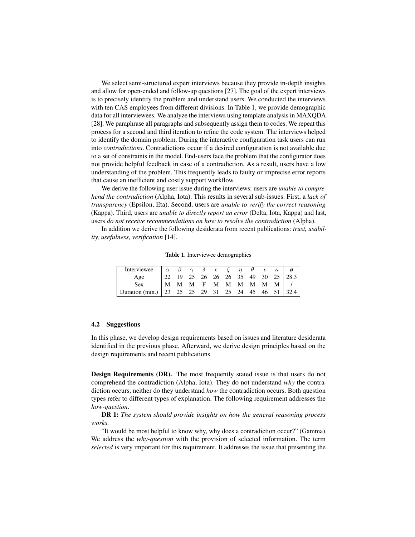We select semi-structured expert interviews because they provide in-depth insights and allow for open-ended and follow-up questions [\[27\]](#page-14-6). The goal of the expert interviews is to precisely identify the problem and understand users. We conducted the interviews with ten CAS employees from different divisions. In Table 1, we provide demographic data for all interviewees. We analyze the interviews using template analysis in MAXQDA [\[28\]](#page-14-7). We paraphrase all paragraphs and subsequently assign them to codes. We repeat this process for a second and third iteration to refine the code system. The interviews helped to identify the domain problem. During the interactive configuration task users can run into *contradictions*. Contradictions occur if a desired configuration is not available due to a set of constraints in the model. End-users face the problem that the configurator does not provide helpful feedback in case of a contradiction. As a result, users have a low understanding of the problem. This frequently leads to faulty or imprecise error reports that cause an inefficient and costly support workflow.

We derive the following user issue during the interviews: users are *unable to comprehend the contradiction* (Alpha, Iota). This results in several sub-issues. First, a *lack of transparency* (Epsilon, Eta). Second, users are *unable to verify the correct reasoning* (Kappa). Third, users are *unable to directly report an error* (Delta, Iota, Kappa) and last, users *do not receive recommendations on how to resolve the contradiction* (Alpha).

In addition we derive the following desiderata from recent publications: *trust, usability, usefulness, verification* [\[14\]](#page-13-12).

|  |  |  | Table 1. Interviewee demographics |
|--|--|--|-----------------------------------|
|--|--|--|-----------------------------------|

| Interviewee | $\alpha$ $\beta$ $\gamma$ $\delta$ $\epsilon$ $\zeta$ |  |  | $\theta$ | $\kappa$              |  |
|-------------|-------------------------------------------------------|--|--|----------|-----------------------|--|
| Age         |                                                       |  |  |          |                       |  |
| <b>Sex</b>  |                                                       |  |  |          | M M M F M M M M M M / |  |
|             |                                                       |  |  |          |                       |  |

#### 4.2 Suggestions

In this phase, we develop design requirements based on issues and literature desiderata identified in the previous phase. Afterward, we derive design principles based on the design requirements and recent publications.

Design Requirements (DR). The most frequently stated issue is that users do not comprehend the contradiction (Alpha, Iota). They do not understand *why* the contradiction occurs, neither do they understand *how* the contradiction occurs. Both question types refer to different types of explanation. The following requirement addresses the *how-question*.

DR 1: *The system should provide insights on how the general reasoning process works.*

"It would be most helpful to know why, why does a contradiction occur?" (Gamma). We address the *why-question* with the provision of selected information. The term *selected* is very important for this requirement. It addresses the issue that presenting the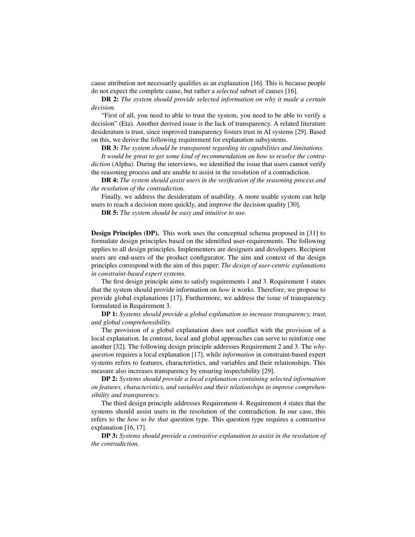cause attribution not necessarily qualifies as an explanation [\[16\]](#page-13-14). This is because people do not expect the complete cause, but rather a *selected* subset of causes [\[16\]](#page-13-14).

DR 2: *The system should provide selected information on why it made a certain decision.*

"First of all, you need to able to trust the system, you need to be able to verify a decision" (Eta). Another derived issue is the lack of transparency. A related literature desideratum is trust, since improved transparency fosters trust in AI systems [\[29\]](#page-14-8). Based on this, we derive the following requirement for explanation subsystems.

DR 3: *The system should be transparent regarding its capabilities and limitations.*

*It would be great to get some kind of recommendation on how to resolve the contradiction* (Alpha). During the interviews, we identified the issue that users cannot verify the reasoning process and are unable to assist in the resolution of a contradiction.

DR 4: *The system should assist users in the verification of the reasoning process and the resolution of the contradiction.*

Finally, we address the desideratum of usability. A more usable system can help users to reach a decision more quickly, and improve the decision quality [\[30\]](#page-14-9).

DR 5: *The system should be easy and intuitive to use.*

Design Principles (DP). This work uses the conceptual schema proposed in [\[31\]](#page-14-10) to formulate design principles based on the identified user-requirements. The following applies to all design principles. Implementers are designers and developers. Recipient users are end-users of the product configurator. The aim and context of the design principles correspond with the aim of this paper: *The design of user-centric explanations in constraint-based expert systems*.

The first design principle aims to satisfy requirements 1 and 3. Requirement 1 states that the system should provide information on *how* it works. Therefore, we propose to provide global explanations [\[17\]](#page-13-15). Furthermore, we address the issue of transparency formulated in Requirement 3.

DP 1: *Systems should provide a global explanation to increase transparency, trust, and global comprehensibility.*

The provision of a global explanation does not conflict with the provision of a local explanation. In contrast, local and global approaches can serve to reinforce one another [\[32\]](#page-14-11). The following design principle addresses Requirement 2 and 3. The *whyquestion* requires a local explanation [\[17\]](#page-13-15), while *information* in constraint-based expert systems refers to features, characteristics, and variables and their relationships. This measure also increases transparency by ensuring inspectability [\[29\]](#page-14-8).

DP 2: *Systems should provide a local explanation containing selected information on features, characteristics, and variables and their relationships to improve comprehensibility and transparency.*

The third design principle addresses Requirement 4. Requirement 4 states that the systems should assist users in the resolution of the contradiction. In our case, this refers to the *how to be that* question type. This question type requires a contrastive explanation [\[16,](#page-13-14) [17\]](#page-13-15).

DP 3: *Systems should provide a contrastive explanation to assist in the resolution of the contradiction.*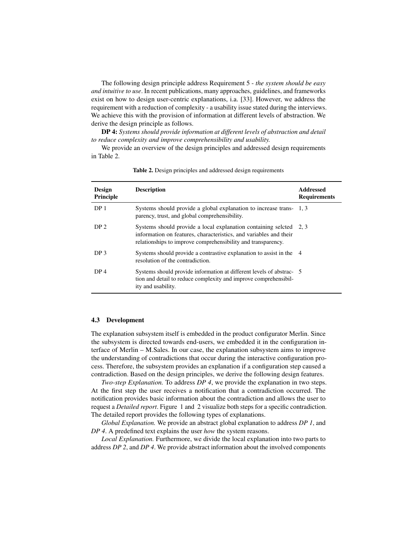The following design principle address Requirement 5 - *the system should be easy and intuitive to use*. In recent publications, many approaches, guidelines, and frameworks exist on how to design user-centric explanations, i.a. [\[33\]](#page-14-12). However, we address the requirement with a reduction of complexity - a usability issue stated during the interviews. We achieve this with the provision of information at different levels of abstraction. We derive the design principle as follows.

DP 4: *Systems should provide information at different levels of abstraction and detail to reduce complexity and improve comprehensibility and usability.*

We provide an overview of the design principles and addressed design requirements in Table 2.

| <b>Design</b><br><b>Principle</b> | <b>Description</b>                                                                                                                                                                                      | <b>Addressed</b><br><b>Requirements</b> |
|-----------------------------------|---------------------------------------------------------------------------------------------------------------------------------------------------------------------------------------------------------|-----------------------------------------|
| DP <sub>1</sub>                   | Systems should provide a global explanation to increase trans- 1, 3<br>parency, trust, and global comprehensibility.                                                                                    |                                         |
| DP <sub>2</sub>                   | Systems should provide a local explanation containing seleted 2, 3<br>information on features, characteristics, and variables and their<br>relationships to improve comprehensibility and transparency. |                                         |
| DP <sub>3</sub>                   | Systems should provide a contrastive explanation to assist in the 4<br>resolution of the contradiction.                                                                                                 |                                         |
| DP <sub>4</sub>                   | Systems should provide information at different levels of abstrac- 5<br>tion and detail to reduce complexity and improve comprehensibil-<br>ity and usability.                                          |                                         |

Table 2. Design principles and addressed design requirements

#### 4.3 Development

The explanation subsystem itself is embedded in the product configurator Merlin. Since the subsystem is directed towards end-users, we embedded it in the configuration interface of Merlin – M.Sales. In our case, the explanation subsystem aims to improve the understanding of contradictions that occur during the interactive configuration process. Therefore, the subsystem provides an explanation if a configuration step caused a contradiction. Based on the design principles, we derive the following design features.

*Two-step Explanation.* To address *DP 4*, we provide the explanation in two steps. At the first step the user receives a notification that a contradiction occurred. The notification provides basic information about the contradiction and allows the user to request a *Detailed report*. Figure 1 and 2 visualize both steps for a specific contradiction. The detailed report provides the following types of explanations.

*Global Explanation.* We provide an abstract global explanation to address *DP 1*, and *DP 4*. A predefined text explains the user *how* the system reasons.

*Local Explanation.* Furthermore, we divide the local explanation into two parts to address *DP 2*, and *DP 4*. We provide abstract information about the involved components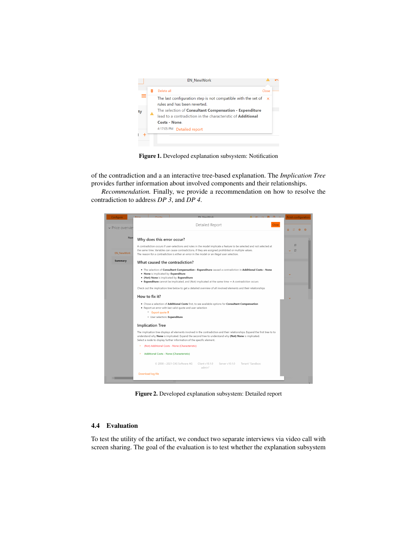

Figure 1. Developed explanation subsystem: Notification

of the contradiction and a an interactive tree-based explanation. The *Implication Tree* provides further information about involved components and their relationships.

*Recommendation.* Finally, we provide a recommendation on how to resolve the contradiction to address *DP 3*, and *DP 4*.

| Configure         | <b>ENL MounMont</b>                                                                                                                                                                                                                                                                                             | <b>Finish configuration</b> |  |  |  |  |  |
|-------------------|-----------------------------------------------------------------------------------------------------------------------------------------------------------------------------------------------------------------------------------------------------------------------------------------------------------------|-----------------------------|--|--|--|--|--|
|                   | Detailed Report<br><b>Close</b>                                                                                                                                                                                                                                                                                 |                             |  |  |  |  |  |
| v Price overviet  |                                                                                                                                                                                                                                                                                                                 | a.                          |  |  |  |  |  |
| Nan               | Why does this error occur?                                                                                                                                                                                                                                                                                      |                             |  |  |  |  |  |
|                   |                                                                                                                                                                                                                                                                                                                 | Ξ                           |  |  |  |  |  |
|                   | A contradiction occurs if user-selections and rules in the model implicate a feature to be selected and not selected at<br>the same time. Variables can cause contradictions, if they are assigned prohibited or multiple values.                                                                               |                             |  |  |  |  |  |
| <b>EN NewWork</b> | The reason for a contradiction is either an error in the model or an illegal user selection.                                                                                                                                                                                                                    |                             |  |  |  |  |  |
| <b>Summary</b>    | What caused the contradiction?                                                                                                                                                                                                                                                                                  |                             |  |  |  |  |  |
|                   | . The selection of Consultant Compensation - Expenditure caused a contradiction in Additional Costs - None                                                                                                                                                                                                      |                             |  |  |  |  |  |
|                   | . None is implicated by: Expenditure<br>. (Not) None is implicated by: Expenditure                                                                                                                                                                                                                              |                             |  |  |  |  |  |
|                   | <b>• Expenditure</b> cannot be implicated, and (Not) implicated at the same time $\rightarrow$ A contradiction occurs                                                                                                                                                                                           |                             |  |  |  |  |  |
|                   | Check out the implication tree below to get a detailed overview of all involved elements and their relationships                                                                                                                                                                                                |                             |  |  |  |  |  |
|                   | How to fix it?                                                                                                                                                                                                                                                                                                  |                             |  |  |  |  |  |
|                   | . Chose a selection of Additional Costs first, to see available options for Consultant Compensation                                                                                                                                                                                                             |                             |  |  |  |  |  |
|                   | . Report an error with last valid quote and user selection<br>$\circ$ Export quote $\pm$                                                                                                                                                                                                                        |                             |  |  |  |  |  |
|                   | O User selection: Expenditure                                                                                                                                                                                                                                                                                   |                             |  |  |  |  |  |
|                   | <b>Implication Tree</b>                                                                                                                                                                                                                                                                                         |                             |  |  |  |  |  |
|                   | The implication tree displays all elements involved in the contradiction and their relationships. Expand the first tree to to<br>understand why None is implicated. Expand the second tree to understand why (Not) None is implicated.<br>Select a node to display further information of the specific element. |                             |  |  |  |  |  |
|                   | (Not) Additional Costs - None (Characteristic)<br>۰,<br>Additional Costs - None (Characteristic)                                                                                                                                                                                                                |                             |  |  |  |  |  |
|                   |                                                                                                                                                                                                                                                                                                                 |                             |  |  |  |  |  |
|                   | © 2008 - 2021 CAS Software AG<br>Tenant "Sandbox:<br>Client v10.1.0<br>Server v10.1.0<br>admin"                                                                                                                                                                                                                 |                             |  |  |  |  |  |
|                   | Download log file                                                                                                                                                                                                                                                                                               |                             |  |  |  |  |  |
|                   |                                                                                                                                                                                                                                                                                                                 |                             |  |  |  |  |  |

Figure 2. Developed explanation subsystem: Detailed report

# 4.4 Evaluation

To test the utility of the artifact, we conduct two separate interviews via video call with screen sharing. The goal of the evaluation is to test whether the explanation subsystem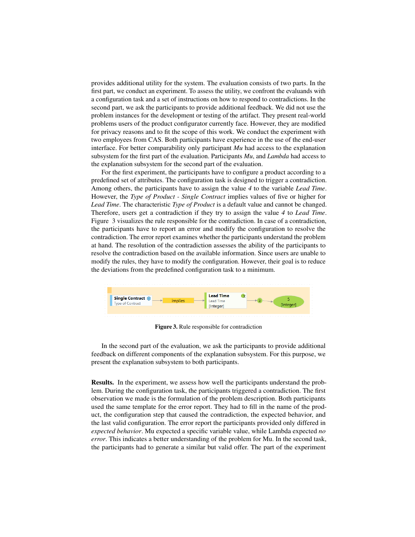provides additional utility for the system. The evaluation consists of two parts. In the first part, we conduct an experiment. To assess the utility, we confront the evaluands with a configuration task and a set of instructions on how to respond to contradictions. In the second part, we ask the participants to provide additional feedback. We did not use the problem instances for the development or testing of the artifact. They present real-world problems users of the product configurator currently face. However, they are modified for privacy reasons and to fit the scope of this work. We conduct the experiment with two employees from CAS. Both participants have experience in the use of the end-user interface. For better comparability only participant *Mu* had access to the explanation subsystem for the first part of the evaluation. Participants *Mu*, and *Lambda* had access to the explanation subsystem for the second part of the evaluation.

For the first experiment, the participants have to configure a product according to a predefined set of attributes. The configuration task is designed to trigger a contradiction. Among others, the participants have to assign the value *4* to the variable *Lead Time*. However, the *Type of Product - Single Contract* implies values of five or higher for *Lead Time*. The characteristic *Type of Product* is a default value and cannot be changed. Therefore, users get a contradiction if they try to assign the value *4* to *Lead Time*. Figure 3 visualizes the rule responsible for the contradiction. In case of a contradiction, the participants have to report an error and modify the configuration to resolve the contradiction. The error report examines whether the participants understand the problem at hand. The resolution of the contradiction assesses the ability of the participants to resolve the contradiction based on the available information. Since users are unable to modify the rules, they have to modify the configuration. However, their goal is to reduce the deviations from the predefined configuration task to a minimum.



Figure 3. Rule responsible for contradiction

In the second part of the evaluation, we ask the participants to provide additional feedback on different components of the explanation subsystem. For this purpose, we present the explanation subsystem to both participants.

Results. In the experiment, we assess how well the participants understand the problem. During the configuration task, the participants triggered a contradiction. The first observation we made is the formulation of the problem description. Both participants used the same template for the error report. They had to fill in the name of the product, the configuration step that caused the contradiction, the expected behavior, and the last valid configuration. The error report the participants provided only differed in *expected behavior*. Mu expected a specific variable value, while Lambda expected *no error*. This indicates a better understanding of the problem for Mu. In the second task, the participants had to generate a similar but valid offer. The part of the experiment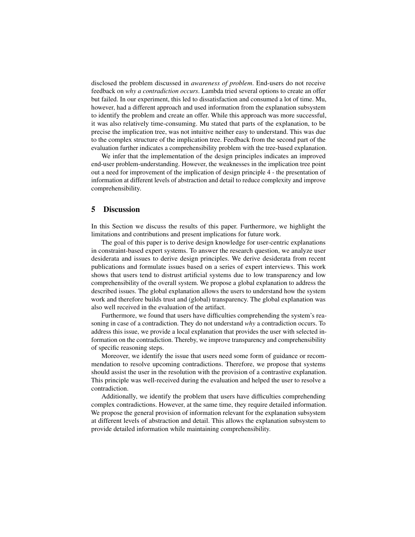disclosed the problem discussed in *awareness of problem*. End-users do not receive feedback on *why a contradiction occurs*. Lambda tried several options to create an offer but failed. In our experiment, this led to dissatisfaction and consumed a lot of time. Mu, however, had a different approach and used information from the explanation subsystem to identify the problem and create an offer. While this approach was more successful, it was also relatively time-consuming. Mu stated that parts of the explanation, to be precise the implication tree, was not intuitive neither easy to understand. This was due to the complex structure of the implication tree. Feedback from the second part of the evaluation further indicates a comprehensibility problem with the tree-based explanation.

We infer that the implementation of the design principles indicates an improved end-user problem-understanding. However, the weaknesses in the implication tree point out a need for improvement of the implication of design principle 4 - the presentation of information at different levels of abstraction and detail to reduce complexity and improve comprehensibility.

### 5 Discussion

In this Section we discuss the results of this paper. Furthermore, we highlight the limitations and contributions and present implications for future work.

The goal of this paper is to derive design knowledge for user-centric explanations in constraint-based expert systems. To answer the research question, we analyze user desiderata and issues to derive design principles. We derive desiderata from recent publications and formulate issues based on a series of expert interviews. This work shows that users tend to distrust artificial systems due to low transparency and low comprehensibility of the overall system. We propose a global explanation to address the described issues. The global explanation allows the users to understand how the system work and therefore builds trust and (global) transparency. The global explanation was also well received in the evaluation of the artifact.

Furthermore, we found that users have difficulties comprehending the system's reasoning in case of a contradiction. They do not understand *why* a contradiction occurs. To address this issue, we provide a local explanation that provides the user with selected information on the contradiction. Thereby, we improve transparency and comprehensibility of specific reasoning steps.

Moreover, we identify the issue that users need some form of guidance or recommendation to resolve upcoming contradictions. Therefore, we propose that systems should assist the user in the resolution with the provision of a contrastive explanation. This principle was well-received during the evaluation and helped the user to resolve a contradiction.

Additionally, we identify the problem that users have difficulties comprehending complex contradictions. However, at the same time, they require detailed information. We propose the general provision of information relevant for the explanation subsystem at different levels of abstraction and detail. This allows the explanation subsystem to provide detailed information while maintaining comprehensibility.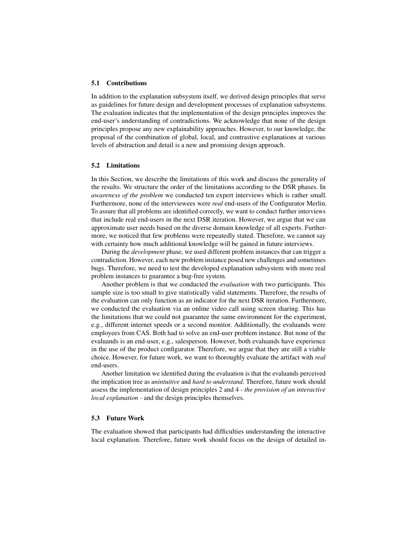#### 5.1 Contributions

In addition to the explanation subsystem itself, we derived design principles that serve as guidelines for future design and development processes of explanation subsystems. The evaluation indicates that the implementation of the design principles improves the end-user's understanding of contradictions. We acknowledge that none of the design principles propose any new explainability approaches. However, to our knowledge, the proposal of the combination of global, local, and contrastive explanations at various levels of abstraction and detail is a new and promising design approach.

#### 5.2 Limitations

In this Section, we describe the limitations of this work and discuss the generality of the results. We structure the order of the limitations according to the DSR phases. In *awareness of the problem* we conducted ten expert interviews which is rather small. Furthermore, none of the interviewees were *real* end-users of the Configurator Merlin. To assure that all problems are identified correctly, we want to conduct further interviews that include real end-users in the next DSR iteration. However, we argue that we can approximate user needs based on the diverse domain knowledge of all experts. Furthermore, we noticed that few problems were repeatedly stated. Therefore, we cannot say with certainty how much additional knowledge will be gained in future interviews.

During the *development* phase, we used different problem instances that can trigger a contradiction. However, each new problem instance posed new challenges and sometimes bugs. Therefore, we need to test the developed explanation subsystem with more real problem instances to guarantee a bug-free system.

Another problem is that we conducted the *evaluation* with two participants. This sample size is too small to give statistically valid statements. Therefore, the results of the evaluation can only function as an indicator for the next DSR iteration. Furthermore, we conducted the evaluation via an online video call using screen sharing. This has the limitations that we could not guarantee the same environment for the experiment, e.g., different internet speeds or a second monitor. Additionally, the evaluands were employees from CAS. Both had to solve an end-user problem instance. But none of the evaluands is an end-user, e.g., salesperson. However, both evaluands have experience in the use of the product configurator. Therefore, we argue that they are still a viable choice. However, for future work, we want to thoroughly evaluate the artifact with *real* end-users.

Another limitation we identified during the evaluation is that the evaluands perceived the implication tree as *unintuitive* and *hard to understand*. Therefore, future work should assess the implementation of design principles 2 and 4 - *the provision of an interactive local explanation* - and the design principles themselves.

#### 5.3 Future Work

The evaluation showed that participants had difficulties understanding the interactive local explanation. Therefore, future work should focus on the design of detailed in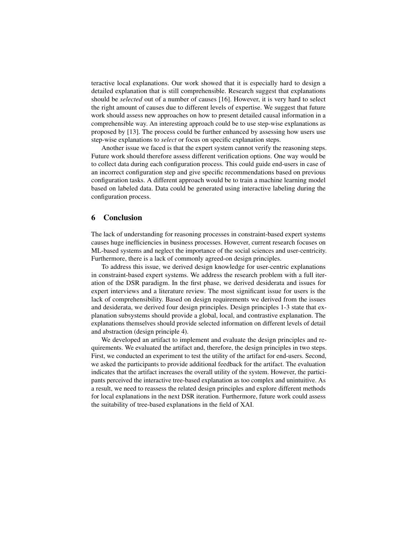teractive local explanations. Our work showed that it is especially hard to design a detailed explanation that is still comprehensible. Research suggest that explanations should be *selected* out of a number of causes [\[16\]](#page-13-14). However, it is very hard to select the right amount of causes due to different levels of expertise. We suggest that future work should assess new approaches on how to present detailed causal information in a comprehensible way. An interesting approach could be to use step-wise explanations as proposed by [\[13\]](#page-13-11). The process could be further enhanced by assessing how users use step-wise explanations to *select* or focus on specific explanation steps.

Another issue we faced is that the expert system cannot verify the reasoning steps. Future work should therefore assess different verification options. One way would be to collect data during each configuration process. This could guide end-users in case of an incorrect configuration step and give specific recommendations based on previous configuration tasks. A different approach would be to train a machine learning model based on labeled data. Data could be generated using interactive labeling during the configuration process.

### 6 Conclusion

The lack of understanding for reasoning processes in constraint-based expert systems causes huge inefficiencies in business processes. However, current research focuses on ML-based systems and neglect the importance of the social sciences and user-centricity. Furthermore, there is a lack of commonly agreed-on design principles.

To address this issue, we derived design knowledge for user-centric explanations in constraint-based expert systems. We address the research problem with a full iteration of the DSR paradigm. In the first phase, we derived desiderata and issues for expert interviews and a literature review. The most significant issue for users is the lack of comprehensibility. Based on design requirements we derived from the issues and desiderata, we derived four design principles. Design principles 1-3 state that explanation subsystems should provide a global, local, and contrastive explanation. The explanations themselves should provide selected information on different levels of detail and abstraction (design principle 4).

We developed an artifact to implement and evaluate the design principles and requirements. We evaluated the artifact and, therefore, the design principles in two steps. First, we conducted an experiment to test the utility of the artifact for end-users. Second, we asked the participants to provide additional feedback for the artifact. The evaluation indicates that the artifact increases the overall utility of the system. However, the participants perceived the interactive tree-based explanation as too complex and unintuitive. As a result, we need to reassess the related design principles and explore different methods for local explanations in the next DSR iteration. Furthermore, future work could assess the suitability of tree-based explanations in the field of XAI.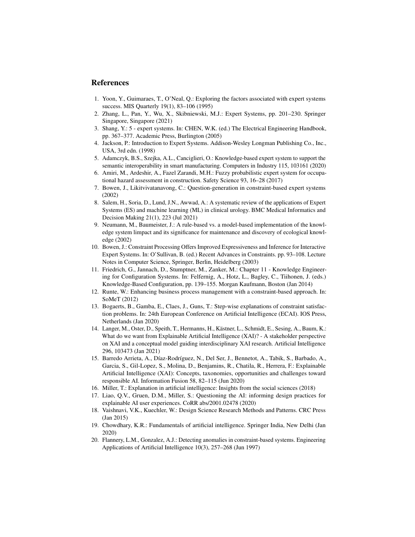# References

- <span id="page-13-0"></span>1. Yoon, Y., Guimaraes, T., O'Neal, Q.: Exploring the factors associated with expert systems success. MIS Quarterly 19(1), 83–106 (1995)
- 2. Zhang, L., Pan, Y., Wu, X., Skibniewski, M.J.: Expert Systems, pp. 201–230. Springer Singapore, Singapore (2021)
- <span id="page-13-1"></span>3. Shang, Y.: 5 - expert systems. In: CHEN, W.K. (ed.) The Electrical Engineering Handbook, pp. 367–377. Academic Press, Burlington (2005)
- <span id="page-13-2"></span>4. Jackson, P.: Introduction to Expert Systems. Addison-Wesley Longman Publishing Co., Inc., USA, 3rd edn. (1998)
- <span id="page-13-3"></span>5. Adamczyk, B.S., Szejka, A.L., Canciglieri, O.: Knowledge-based expert system to support the semantic interoperability in smart manufacturing. Computers in Industry 115, 103161 (2020)
- <span id="page-13-4"></span>6. Amiri, M., Ardeshir, A., Fazel Zarandi, M.H.: Fuzzy probabilistic expert system for occupational hazard assessment in construction. Safety Science 93, 16–28 (2017)
- <span id="page-13-5"></span>7. Bowen, J., Likitvivatanavong, C.: Question-generation in constraint-based expert systems (2002)
- <span id="page-13-6"></span>8. Salem, H., Soria, D., Lund, J.N., Awwad, A.: A systematic review of the applications of Expert Systems (ES) and machine learning (ML) in clinical urology. BMC Medical Informatics and Decision Making 21(1), 223 (Jul 2021)
- <span id="page-13-7"></span>9. Neumann, M., Baumeister, J.: A rule-based vs. a model-based implementation of the knowledge system limpact and its significance for maintenance and discovery of ecological knowledge (2002)
- <span id="page-13-8"></span>10. Bowen, J.: Constraint Processing Offers Improved Expressiveness and Inference for Interactive Expert Systems. In: O'Sullivan, B. (ed.) Recent Advances in Constraints. pp. 93–108. Lecture Notes in Computer Science, Springer, Berlin, Heidelberg (2003)
- <span id="page-13-9"></span>11. Friedrich, G., Jannach, D., Stumptner, M., Zanker, M.: Chapter 11 - Knowledge Engineering for Configuration Systems. In: Felfernig, A., Hotz, L., Bagley, C., Tiihonen, J. (eds.) Knowledge-Based Configuration, pp. 139–155. Morgan Kaufmann, Boston (Jan 2014)
- <span id="page-13-10"></span>12. Runte, W.: Enhancing business process management with a constraint-based approach. In: SoMeT (2012)
- <span id="page-13-11"></span>13. Bogaerts, B., Gamba, E., Claes, J., Guns, T.: Step-wise explanations of constraint satisfaction problems. In: 24th European Conference on Artificial Intelligence (ECAI). IOS Press, Netherlands (Jan 2020)
- <span id="page-13-12"></span>14. Langer, M., Oster, D., Speith, T., Hermanns, H., Kästner, L., Schmidt, E., Sesing, A., Baum, K.: What do we want from Explainable Artificial Intelligence (XAI)? - A stakeholder perspective on XAI and a conceptual model guiding interdisciplinary XAI research. Artificial Intelligence 296, 103473 (Jan 2021)
- <span id="page-13-13"></span>15. Barredo Arrieta, A., Díaz-Rodríguez, N., Del Ser, J., Bennetot, A., Tabik, S., Barbado, A., Garcia, S., Gil-Lopez, S., Molina, D., Benjamins, R., Chatila, R., Herrera, F.: Explainable Artificial Intelligence (XAI): Concepts, taxonomies, opportunities and challenges toward responsible AI. Information Fusion 58, 82–115 (Jun 2020)
- <span id="page-13-14"></span>16. Miller, T.: Explanation in artificial intelligence: Insights from the social sciences (2018)
- <span id="page-13-15"></span>17. Liao, Q.V., Gruen, D.M., Miller, S.: Questioning the AI: informing design practices for explainable AI user experiences. CoRR abs/2001.02478 (2020)
- <span id="page-13-16"></span>18. Vaishnavi, V.K., Kuechler, W.: Design Science Research Methods and Patterns. CRC Press (Jan 2015)
- <span id="page-13-17"></span>19. Chowdhary, K.R.: Fundamentals of artificial intelligence. Springer India, New Delhi (Jan 2020)
- <span id="page-13-18"></span>20. Flannery, L.M., Gonzalez, A.J.: Detecting anomalies in constraint-based systems. Engineering Applications of Artificial Intelligence 10(3), 257–268 (Jun 1997)